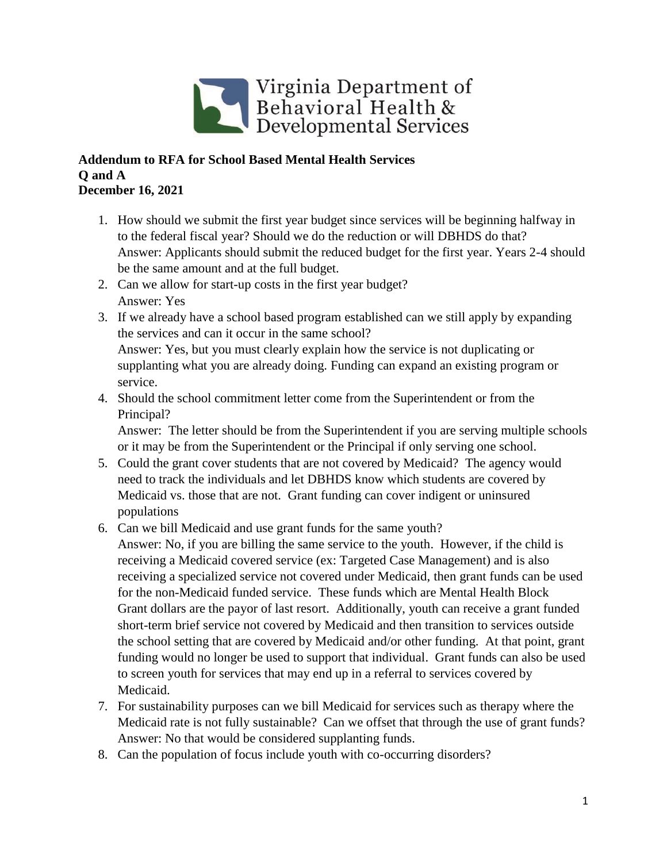

## **Addendum to RFA for School Based Mental Health Services Q and A December 16, 2021**

- 1. How should we submit the first year budget since services will be beginning halfway in to the federal fiscal year? Should we do the reduction or will DBHDS do that? Answer: Applicants should submit the reduced budget for the first year. Years 2-4 should be the same amount and at the full budget.
- 2. Can we allow for start-up costs in the first year budget? Answer: Yes
- 3. If we already have a school based program established can we still apply by expanding the services and can it occur in the same school? Answer: Yes, but you must clearly explain how the service is not duplicating or supplanting what you are already doing. Funding can expand an existing program or service.
- 4. Should the school commitment letter come from the Superintendent or from the Principal?

Answer: The letter should be from the Superintendent if you are serving multiple schools or it may be from the Superintendent or the Principal if only serving one school.

- 5. Could the grant cover students that are not covered by Medicaid? The agency would need to track the individuals and let DBHDS know which students are covered by Medicaid vs. those that are not. Grant funding can cover indigent or uninsured populations
- 6. Can we bill Medicaid and use grant funds for the same youth? Answer: No, if you are billing the same service to the youth. However, if the child is receiving a Medicaid covered service (ex: Targeted Case Management) and is also receiving a specialized service not covered under Medicaid, then grant funds can be used for the non-Medicaid funded service. These funds which are Mental Health Block Grant dollars are the payor of last resort. Additionally, youth can receive a grant funded
	- short-term brief service not covered by Medicaid and then transition to services outside the school setting that are covered by Medicaid and/or other funding. At that point, grant funding would no longer be used to support that individual. Grant funds can also be used to screen youth for services that may end up in a referral to services covered by Medicaid.
- 7. For sustainability purposes can we bill Medicaid for services such as therapy where the Medicaid rate is not fully sustainable? Can we offset that through the use of grant funds? Answer: No that would be considered supplanting funds.
- 8. Can the population of focus include youth with co-occurring disorders?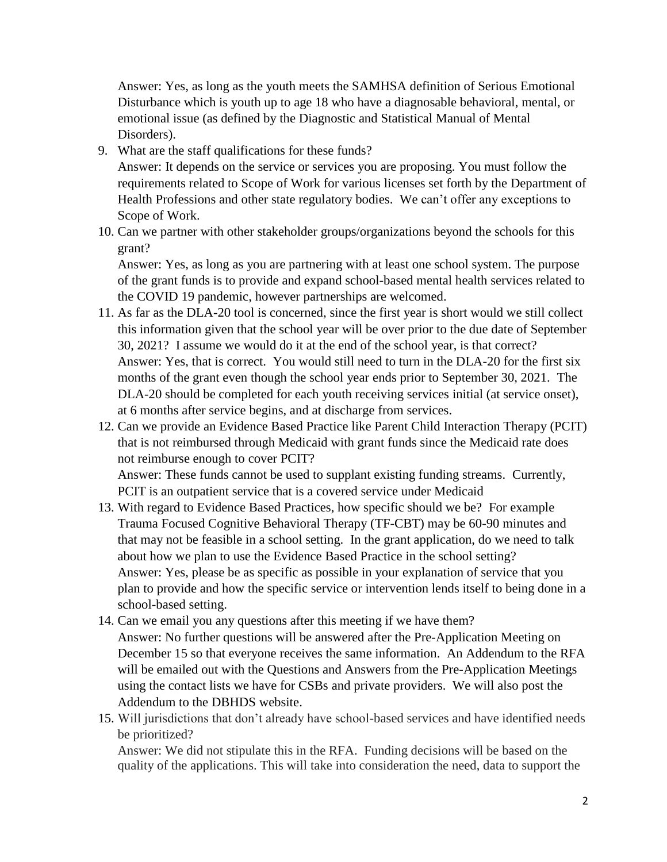Answer: Yes, as long as the youth meets the SAMHSA definition of Serious Emotional Disturbance which is youth up to age 18 who have a diagnosable behavioral, mental, or emotional issue (as defined by the Diagnostic and Statistical Manual of Mental Disorders).

9. What are the staff qualifications for these funds?

Answer: It depends on the service or services you are proposing. You must follow the requirements related to Scope of Work for various licenses set forth by the Department of Health Professions and other state regulatory bodies. We can't offer any exceptions to Scope of Work.

10. Can we partner with other stakeholder groups/organizations beyond the schools for this grant?

Answer: Yes, as long as you are partnering with at least one school system. The purpose of the grant funds is to provide and expand school-based mental health services related to the COVID 19 pandemic, however partnerships are welcomed.

- 11. As far as the DLA-20 tool is concerned, since the first year is short would we still collect this information given that the school year will be over prior to the due date of September 30, 2021? I assume we would do it at the end of the school year, is that correct? Answer: Yes, that is correct. You would still need to turn in the DLA-20 for the first six months of the grant even though the school year ends prior to September 30, 2021. The DLA-20 should be completed for each youth receiving services initial (at service onset), at 6 months after service begins, and at discharge from services.
- 12. Can we provide an Evidence Based Practice like Parent Child Interaction Therapy (PCIT) that is not reimbursed through Medicaid with grant funds since the Medicaid rate does not reimburse enough to cover PCIT?

Answer: These funds cannot be used to supplant existing funding streams. Currently, PCIT is an outpatient service that is a covered service under Medicaid

- 13. With regard to Evidence Based Practices, how specific should we be? For example Trauma Focused Cognitive Behavioral Therapy (TF-CBT) may be 60-90 minutes and that may not be feasible in a school setting. In the grant application, do we need to talk about how we plan to use the Evidence Based Practice in the school setting? Answer: Yes, please be as specific as possible in your explanation of service that you plan to provide and how the specific service or intervention lends itself to being done in a school-based setting.
- 14. Can we email you any questions after this meeting if we have them? Answer: No further questions will be answered after the Pre-Application Meeting on December 15 so that everyone receives the same information. An Addendum to the RFA will be emailed out with the Questions and Answers from the Pre-Application Meetings using the contact lists we have for CSBs and private providers. We will also post the Addendum to the DBHDS website.
- 15. Will jurisdictions that don't already have school-based services and have identified needs be prioritized?

Answer: We did not stipulate this in the RFA. Funding decisions will be based on the quality of the applications. This will take into consideration the need, data to support the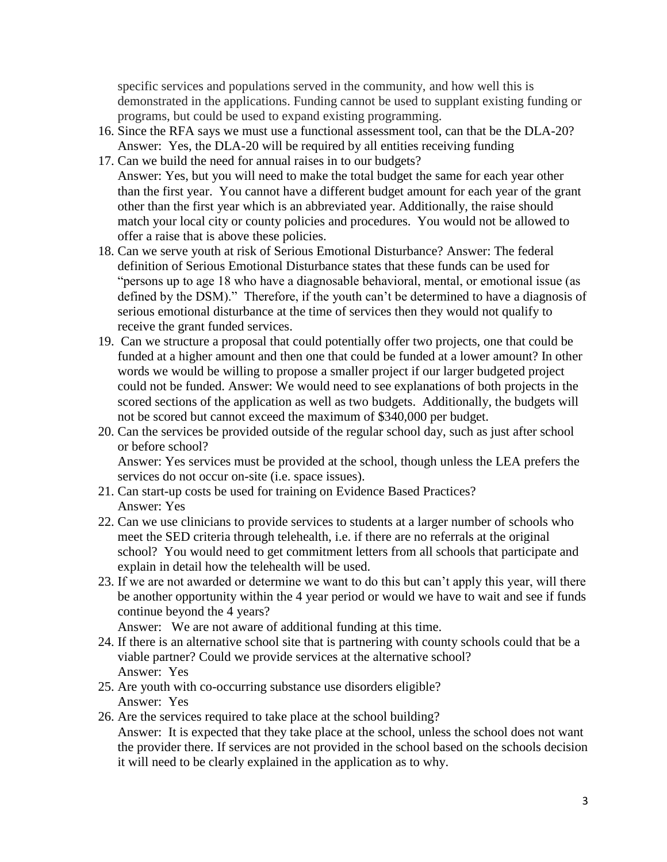specific services and populations served in the community, and how well this is demonstrated in the applications. Funding cannot be used to supplant existing funding or programs, but could be used to expand existing programming.

- 16. Since the RFA says we must use a functional assessment tool, can that be the DLA-20? Answer: Yes, the DLA-20 will be required by all entities receiving funding
- 17. Can we build the need for annual raises in to our budgets? Answer: Yes, but you will need to make the total budget the same for each year other than the first year. You cannot have a different budget amount for each year of the grant other than the first year which is an abbreviated year. Additionally, the raise should match your local city or county policies and procedures. You would not be allowed to offer a raise that is above these policies.
- 18. Can we serve youth at risk of Serious Emotional Disturbance? Answer: The federal definition of Serious Emotional Disturbance states that these funds can be used for "persons up to age 18 who have a diagnosable behavioral, mental, or emotional issue (as defined by the DSM)." Therefore, if the youth can't be determined to have a diagnosis of serious emotional disturbance at the time of services then they would not qualify to receive the grant funded services.
- 19. Can we structure a proposal that could potentially offer two projects, one that could be funded at a higher amount and then one that could be funded at a lower amount? In other words we would be willing to propose a smaller project if our larger budgeted project could not be funded. Answer: We would need to see explanations of both projects in the scored sections of the application as well as two budgets. Additionally, the budgets will not be scored but cannot exceed the maximum of \$340,000 per budget.
- 20. Can the services be provided outside of the regular school day, such as just after school or before school?

Answer: Yes services must be provided at the school, though unless the LEA prefers the services do not occur on-site (i.e. space issues).

- 21. Can start-up costs be used for training on Evidence Based Practices? Answer: Yes
- 22. Can we use clinicians to provide services to students at a larger number of schools who meet the SED criteria through telehealth, i.e. if there are no referrals at the original school? You would need to get commitment letters from all schools that participate and explain in detail how the telehealth will be used.
- 23. If we are not awarded or determine we want to do this but can't apply this year, will there be another opportunity within the 4 year period or would we have to wait and see if funds continue beyond the 4 years?

Answer: We are not aware of additional funding at this time.

- 24. If there is an alternative school site that is partnering with county schools could that be a viable partner? Could we provide services at the alternative school? Answer: Yes
- 25. Are youth with co-occurring substance use disorders eligible? Answer: Yes
- 26. Are the services required to take place at the school building?

Answer: It is expected that they take place at the school, unless the school does not want the provider there. If services are not provided in the school based on the schools decision it will need to be clearly explained in the application as to why.